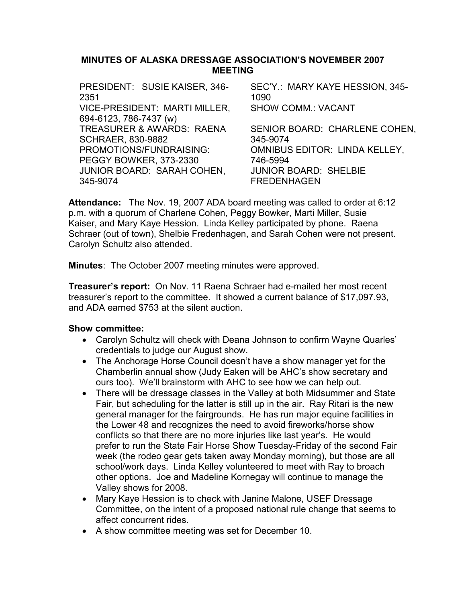## MINUTES OF ALASKA DRESSAGE ASSOCIATION'S NOVEMBER 2007 MEETING

| PRESIDENT: SUSIE KAISER, 346- | SEC'Y.: MARY KAYE HESSION, 345-      |
|-------------------------------|--------------------------------------|
| 2351                          | 1090                                 |
| VICE-PRESIDENT: MARTI MILLER, | <b>SHOW COMM.: VACANT</b>            |
| 694-6123, 786-7437 (w)        |                                      |
| TREASURER & AWARDS: RAENA     | SENIOR BOARD: CHARLENE COHEN,        |
| <b>SCHRAER, 830-9882</b>      | 345-9074                             |
| PROMOTIONS/FUNDRAISING:       | <b>OMNIBUS EDITOR: LINDA KELLEY,</b> |
| PEGGY BOWKER, 373-2330        | 746-5994                             |
| JUNIOR BOARD: SARAH COHEN,    | <b>JUNIOR BOARD: SHELBIE</b>         |
| 345-9074                      | <b>FREDENHAGEN</b>                   |
|                               |                                      |

Attendance: The Nov. 19, 2007 ADA board meeting was called to order at 6:12 p.m. with a quorum of Charlene Cohen, Peggy Bowker, Marti Miller, Susie Kaiser, and Mary Kaye Hession. Linda Kelley participated by phone. Raena Schraer (out of town), Shelbie Fredenhagen, and Sarah Cohen were not present. Carolyn Schultz also attended.

Minutes: The October 2007 meeting minutes were approved.

Treasurer's report: On Nov. 11 Raena Schraer had e-mailed her most recent treasurer's report to the committee. It showed a current balance of \$17,097.93, and ADA earned \$753 at the silent auction.

- Carolyn Schultz will check with Deana Johnson to confirm Wayne Quarles' credentials to judge our August show.
- The Anchorage Horse Council doesn't have a show manager yet for the Chamberlin annual show (Judy Eaken will be AHC's show secretary and ours too). We'll brainstorm with AHC to see how we can help out.
- There will be dressage classes in the Valley at both Midsummer and State Fair, but scheduling for the latter is still up in the air. Ray Ritari is the new general manager for the fairgrounds. He has run major equine facilities in the Lower 48 and recognizes the need to avoid fireworks/horse show conflicts so that there are no more injuries like last year's. He would prefer to run the State Fair Horse Show Tuesday-Friday of the second Fair week (the rodeo gear gets taken away Monday morning), but those are all school/work days. Linda Kelley volunteered to meet with Ray to broach other options. Joe and Madeline Kornegay will continue to manage the Valley shows for 2008.
- Mary Kaye Hession is to check with Janine Malone, USEF Dressage Committee, on the intent of a proposed national rule change that seems to affect concurrent rides.
- A show committee meeting was set for December 10.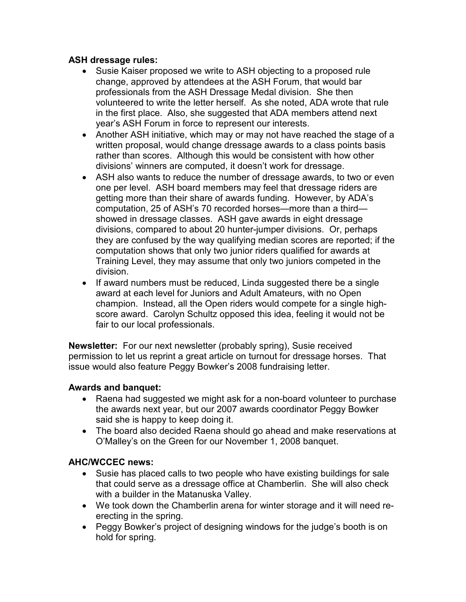# ASH dressage rules:

- Susie Kaiser proposed we write to ASH objecting to a proposed rule change, approved by attendees at the ASH Forum, that would bar professionals from the ASH Dressage Medal division. She then volunteered to write the letter herself. As she noted, ADA wrote that rule in the first place. Also, she suggested that ADA members attend next year's ASH Forum in force to represent our interests.
- Another ASH initiative, which may or may not have reached the stage of a written proposal, would change dressage awards to a class points basis rather than scores. Although this would be consistent with how other divisions' winners are computed, it doesn't work for dressage.
- ASH also wants to reduce the number of dressage awards, to two or even one per level. ASH board members may feel that dressage riders are getting more than their share of awards funding. However, by ADA's computation, 25 of ASH's 70 recorded horses—more than a third showed in dressage classes. ASH gave awards in eight dressage divisions, compared to about 20 hunter-jumper divisions. Or, perhaps they are confused by the way qualifying median scores are reported; if the computation shows that only two junior riders qualified for awards at Training Level, they may assume that only two juniors competed in the division.
- If award numbers must be reduced, Linda suggested there be a single award at each level for Juniors and Adult Amateurs, with no Open champion. Instead, all the Open riders would compete for a single highscore award. Carolyn Schultz opposed this idea, feeling it would not be fair to our local professionals.

Newsletter: For our next newsletter (probably spring), Susie received permission to let us reprint a great article on turnout for dressage horses. That issue would also feature Peggy Bowker's 2008 fundraising letter.

# Awards and banquet:

- Raena had suggested we might ask for a non-board volunteer to purchase the awards next year, but our 2007 awards coordinator Peggy Bowker said she is happy to keep doing it.
- The board also decided Raena should go ahead and make reservations at O'Malley's on the Green for our November 1, 2008 banquet.

# AHC/WCCEC news:

- Susie has placed calls to two people who have existing buildings for sale that could serve as a dressage office at Chamberlin. She will also check with a builder in the Matanuska Valley.
- We took down the Chamberlin arena for winter storage and it will need reerecting in the spring.
- Peggy Bowker's project of designing windows for the judge's booth is on hold for spring.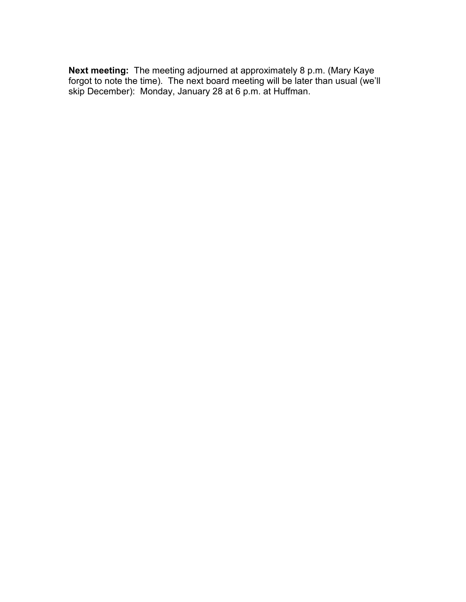Next meeting: The meeting adjourned at approximately 8 p.m. (Mary Kaye forgot to note the time). The next board meeting will be later than usual (we'll skip December): Monday, January 28 at 6 p.m. at Huffman.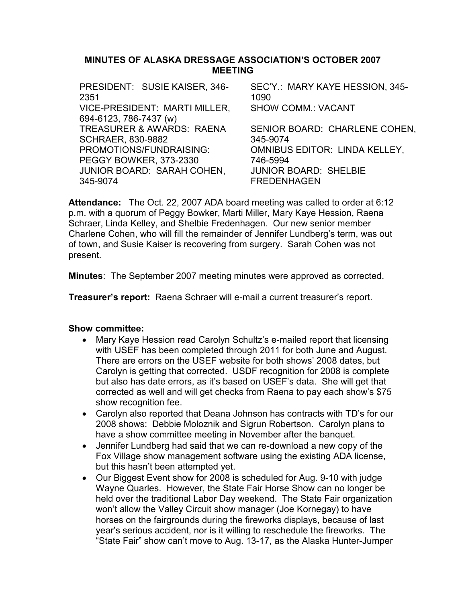## MINUTES OF ALASKA DRESSAGE ASSOCIATION'S OCTOBER 2007 MEETING

| PRESIDENT: SUSIE KAISER, 346-        | SEC'Y.: MARY KAYE HESSION, 345-      |
|--------------------------------------|--------------------------------------|
| 2351                                 | 1090                                 |
| VICE-PRESIDENT: MARTI MILLER,        | <b>SHOW COMM.: VACANT</b>            |
| 694-6123, 786-7437 (w)               |                                      |
| <b>TREASURER &amp; AWARDS: RAENA</b> | SENIOR BOARD: CHARLENE COHEN,        |
| <b>SCHRAER, 830-9882</b>             | 345-9074                             |
| PROMOTIONS/FUNDRAISING:              | <b>OMNIBUS EDITOR: LINDA KELLEY,</b> |
| PEGGY BOWKER, 373-2330               | 746-5994                             |
| JUNIOR BOARD: SARAH COHEN,           | <b>JUNIOR BOARD: SHELBIE</b>         |
| 345-9074                             | <b>FREDENHAGEN</b>                   |
|                                      |                                      |

Attendance: The Oct. 22, 2007 ADA board meeting was called to order at 6:12 p.m. with a quorum of Peggy Bowker, Marti Miller, Mary Kaye Hession, Raena Schraer, Linda Kelley, and Shelbie Fredenhagen. Our new senior member Charlene Cohen, who will fill the remainder of Jennifer Lundberg's term, was out of town, and Susie Kaiser is recovering from surgery. Sarah Cohen was not present.

Minutes: The September 2007 meeting minutes were approved as corrected.

Treasurer's report: Raena Schraer will e-mail a current treasurer's report.

- Mary Kaye Hession read Carolyn Schultz's e-mailed report that licensing with USEF has been completed through 2011 for both June and August. There are errors on the USEF website for both shows' 2008 dates, but Carolyn is getting that corrected. USDF recognition for 2008 is complete but also has date errors, as it's based on USEF's data. She will get that corrected as well and will get checks from Raena to pay each show's \$75 show recognition fee.
- Carolyn also reported that Deana Johnson has contracts with TD's for our 2008 shows: Debbie Moloznik and Sigrun Robertson. Carolyn plans to have a show committee meeting in November after the banquet.
- Jennifer Lundberg had said that we can re-download a new copy of the Fox Village show management software using the existing ADA license, but this hasn't been attempted yet.
- Our Biggest Event show for 2008 is scheduled for Aug. 9-10 with judge Wayne Quarles. However, the State Fair Horse Show can no longer be held over the traditional Labor Day weekend. The State Fair organization won't allow the Valley Circuit show manager (Joe Kornegay) to have horses on the fairgrounds during the fireworks displays, because of last year's serious accident, nor is it willing to reschedule the fireworks. The "State Fair" show can't move to Aug. 13-17, as the Alaska Hunter-Jumper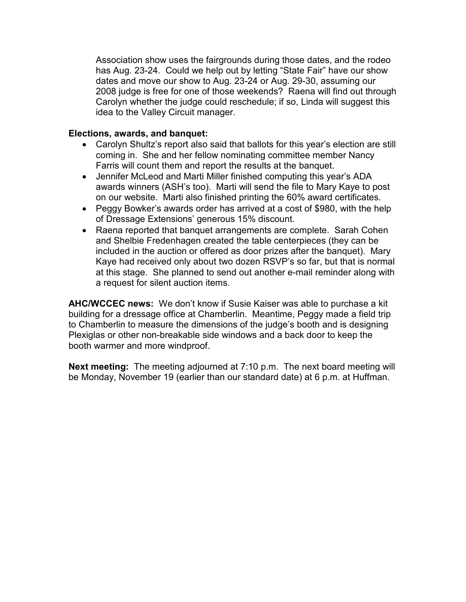Association show uses the fairgrounds during those dates, and the rodeo has Aug. 23-24. Could we help out by letting "State Fair" have our show dates and move our show to Aug. 23-24 or Aug. 29-30, assuming our 2008 judge is free for one of those weekends? Raena will find out through Carolyn whether the judge could reschedule; if so, Linda will suggest this idea to the Valley Circuit manager.

## Elections, awards, and banquet:

- Carolyn Shultz's report also said that ballots for this year's election are still coming in. She and her fellow nominating committee member Nancy Farris will count them and report the results at the banquet.
- Jennifer McLeod and Marti Miller finished computing this year's ADA awards winners (ASH's too). Marti will send the file to Mary Kaye to post on our website. Marti also finished printing the 60% award certificates.
- Peggy Bowker's awards order has arrived at a cost of \$980, with the help of Dressage Extensions' generous 15% discount.
- Raena reported that banquet arrangements are complete. Sarah Cohen and Shelbie Fredenhagen created the table centerpieces (they can be included in the auction or offered as door prizes after the banquet). Mary Kaye had received only about two dozen RSVP's so far, but that is normal at this stage. She planned to send out another e-mail reminder along with a request for silent auction items.

AHC/WCCEC news: We don't know if Susie Kaiser was able to purchase a kit building for a dressage office at Chamberlin. Meantime, Peggy made a field trip to Chamberlin to measure the dimensions of the judge's booth and is designing Plexiglas or other non-breakable side windows and a back door to keep the booth warmer and more windproof.

Next meeting: The meeting adjourned at 7:10 p.m. The next board meeting will be Monday, November 19 (earlier than our standard date) at 6 p.m. at Huffman.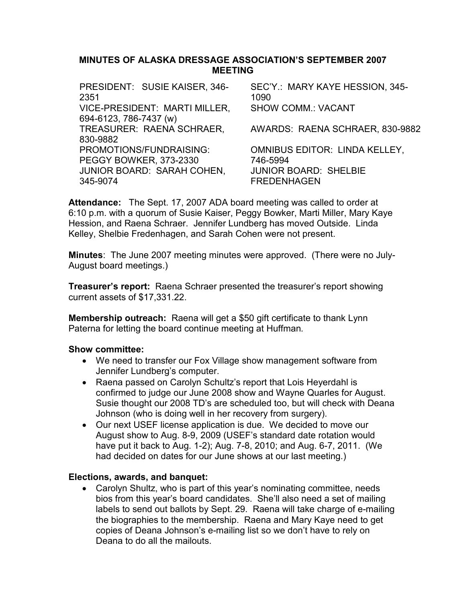## MINUTES OF ALASKA DRESSAGE ASSOCIATION'S SEPTEMBER 2007 MEETING

| PRESIDENT: SUSIE KAISER, 346-<br>2351 | SEC'Y.: MARY KAYE HESSION, 345-<br>1090 |
|---------------------------------------|-----------------------------------------|
| VICE-PRESIDENT: MARTI MILLER,         | <b>SHOW COMM.: VACANT</b>               |
| 694-6123, 786-7437 (w)                |                                         |
| TREASURER: RAENA SCHRAER,             | AWARDS: RAENA SCHRAER, 830-9882         |
| 830-9882                              |                                         |
| PROMOTIONS/FUNDRAISING:               | <b>OMNIBUS EDITOR: LINDA KELLEY,</b>    |
| <b>PEGGY BOWKER, 373-2330</b>         | 746-5994                                |
| <b>JUNIOR BOARD: SARAH COHEN,</b>     | <b>JUNIOR BOARD: SHELBIE</b>            |
| 345-9074                              | <b>FREDENHAGEN</b>                      |
|                                       |                                         |

Attendance: The Sept. 17, 2007 ADA board meeting was called to order at 6:10 p.m. with a quorum of Susie Kaiser, Peggy Bowker, Marti Miller, Mary Kaye Hession, and Raena Schraer. Jennifer Lundberg has moved Outside. Linda Kelley, Shelbie Fredenhagen, and Sarah Cohen were not present.

Minutes: The June 2007 meeting minutes were approved. (There were no July-August board meetings.)

**Treasurer's report:** Raena Schraer presented the treasurer's report showing current assets of \$17,331.22.

Membership outreach: Raena will get a \$50 gift certificate to thank Lynn Paterna for letting the board continue meeting at Huffman.

### Show committee:

- We need to transfer our Fox Village show management software from Jennifer Lundberg's computer.
- Raena passed on Carolyn Schultz's report that Lois Heyerdahl is confirmed to judge our June 2008 show and Wayne Quarles for August. Susie thought our 2008 TD's are scheduled too, but will check with Deana Johnson (who is doing well in her recovery from surgery).
- Our next USEF license application is due. We decided to move our August show to Aug. 8-9, 2009 (USEF's standard date rotation would have put it back to Aug. 1-2); Aug. 7-8, 2010; and Aug. 6-7, 2011. (We had decided on dates for our June shows at our last meeting.)

### Elections, awards, and banquet:

• Carolyn Shultz, who is part of this year's nominating committee, needs bios from this year's board candidates. She'll also need a set of mailing labels to send out ballots by Sept. 29. Raena will take charge of e-mailing the biographies to the membership. Raena and Mary Kaye need to get copies of Deana Johnson's e-mailing list so we don't have to rely on Deana to do all the mailouts.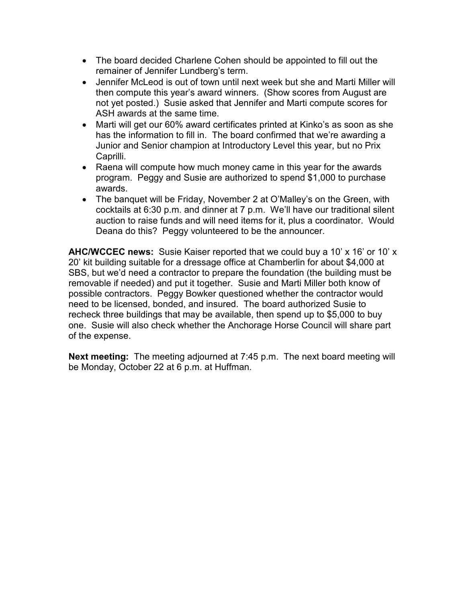- The board decided Charlene Cohen should be appointed to fill out the remainer of Jennifer Lundberg's term.
- Jennifer McLeod is out of town until next week but she and Marti Miller will then compute this year's award winners. (Show scores from August are not yet posted.) Susie asked that Jennifer and Marti compute scores for ASH awards at the same time.
- Marti will get our 60% award certificates printed at Kinko's as soon as she has the information to fill in. The board confirmed that we're awarding a Junior and Senior champion at Introductory Level this year, but no Prix Caprilli.
- Raena will compute how much money came in this year for the awards program. Peggy and Susie are authorized to spend \$1,000 to purchase awards.
- The banquet will be Friday, November 2 at O'Malley's on the Green, with cocktails at 6:30 p.m. and dinner at 7 p.m. We'll have our traditional silent auction to raise funds and will need items for it, plus a coordinator. Would Deana do this? Peggy volunteered to be the announcer.

AHC/WCCEC news: Susie Kaiser reported that we could buy a 10' x 16' or 10' x 20' kit building suitable for a dressage office at Chamberlin for about \$4,000 at SBS, but we'd need a contractor to prepare the foundation (the building must be removable if needed) and put it together. Susie and Marti Miller both know of possible contractors. Peggy Bowker questioned whether the contractor would need to be licensed, bonded, and insured. The board authorized Susie to recheck three buildings that may be available, then spend up to \$5,000 to buy one. Susie will also check whether the Anchorage Horse Council will share part of the expense.

Next meeting: The meeting adjourned at 7:45 p.m. The next board meeting will be Monday, October 22 at 6 p.m. at Huffman.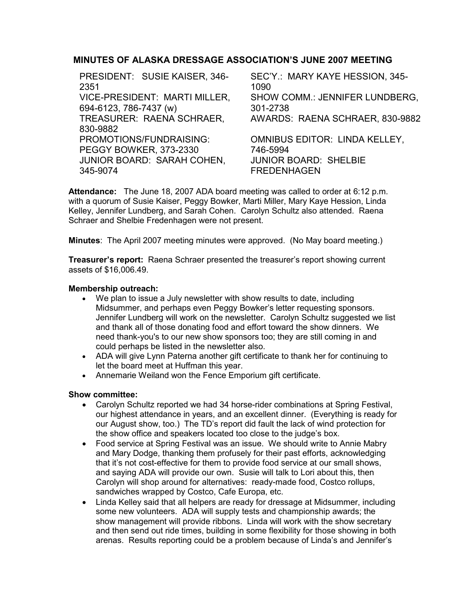## MINUTES OF ALASKA DRESSAGE ASSOCIATION'S JUNE 2007 MEETING

| SEC'Y.: MARY KAYE HESSION, 345-      |
|--------------------------------------|
| 1090                                 |
| SHOW COMM.: JENNIFER LUNDBERG,       |
| 301-2738                             |
| AWARDS: RAENA SCHRAER, 830-9882      |
|                                      |
| <b>OMNIBUS EDITOR: LINDA KELLEY,</b> |
| 746-5994                             |
| <b>JUNIOR BOARD: SHELBIE</b>         |
| <b>FREDENHAGEN</b>                   |
|                                      |

Attendance: The June 18, 2007 ADA board meeting was called to order at 6:12 p.m. with a quorum of Susie Kaiser, Peggy Bowker, Marti Miller, Mary Kaye Hession, Linda Kelley, Jennifer Lundberg, and Sarah Cohen. Carolyn Schultz also attended. Raena Schraer and Shelbie Fredenhagen were not present.

Minutes: The April 2007 meeting minutes were approved. (No May board meeting.)

**Treasurer's report:** Raena Schraer presented the treasurer's report showing current assets of \$16,006.49.

### Membership outreach:

- We plan to issue a July newsletter with show results to date, including Midsummer, and perhaps even Peggy Bowker's letter requesting sponsors. Jennifer Lundberg will work on the newsletter. Carolyn Schultz suggested we list and thank all of those donating food and effort toward the show dinners. We need thank-you's to our new show sponsors too; they are still coming in and could perhaps be listed in the newsletter also.
- ADA will give Lynn Paterna another gift certificate to thank her for continuing to let the board meet at Huffman this year.
- Annemarie Weiland won the Fence Emporium gift certificate.

- Carolyn Schultz reported we had 34 horse-rider combinations at Spring Festival, our highest attendance in years, and an excellent dinner. (Everything is ready for our August show, too.) The TD's report did fault the lack of wind protection for the show office and speakers located too close to the judge's box.
- Food service at Spring Festival was an issue. We should write to Annie Mabry and Mary Dodge, thanking them profusely for their past efforts, acknowledging that it's not cost-effective for them to provide food service at our small shows, and saying ADA will provide our own. Susie will talk to Lori about this, then Carolyn will shop around for alternatives: ready-made food, Costco rollups, sandwiches wrapped by Costco, Cafe Europa, etc.
- Linda Kelley said that all helpers are ready for dressage at Midsummer, including some new volunteers. ADA will supply tests and championship awards; the show management will provide ribbons. Linda will work with the show secretary and then send out ride times, building in some flexibility for those showing in both arenas. Results reporting could be a problem because of Linda's and Jennifer's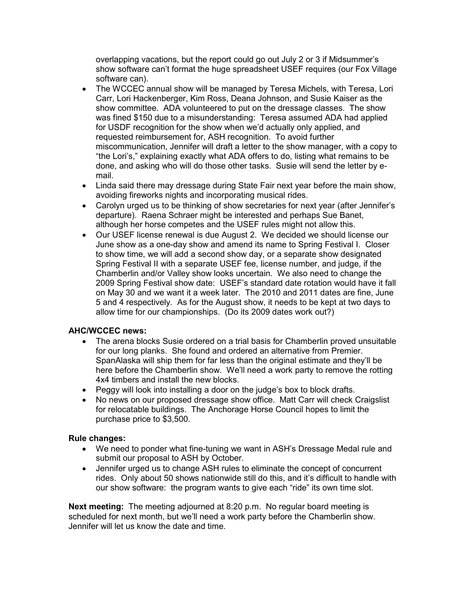overlapping vacations, but the report could go out July 2 or 3 if Midsummer's show software can't format the huge spreadsheet USEF requires (our Fox Village software can).

- The WCCEC annual show will be managed by Teresa Michels, with Teresa, Lori Carr, Lori Hackenberger, Kim Ross, Deana Johnson, and Susie Kaiser as the show committee. ADA volunteered to put on the dressage classes. The show was fined \$150 due to a misunderstanding: Teresa assumed ADA had applied for USDF recognition for the show when we'd actually only applied, and requested reimbursement for, ASH recognition. To avoid further miscommunication, Jennifer will draft a letter to the show manager, with a copy to "the Lori's," explaining exactly what ADA offers to do, listing what remains to be done, and asking who will do those other tasks. Susie will send the letter by email.
- Linda said there may dressage during State Fair next year before the main show, avoiding fireworks nights and incorporating musical rides.
- Carolyn urged us to be thinking of show secretaries for next year (after Jennifer's departure). Raena Schraer might be interested and perhaps Sue Banet, although her horse competes and the USEF rules might not allow this.
- Our USEF license renewal is due August 2. We decided we should license our June show as a one-day show and amend its name to Spring Festival I. Closer to show time, we will add a second show day, or a separate show designated Spring Festival II with a separate USEF fee, license number, and judge, if the Chamberlin and/or Valley show looks uncertain. We also need to change the 2009 Spring Festival show date: USEF's standard date rotation would have it fall on May 30 and we want it a week later. The 2010 and 2011 dates are fine, June 5 and 4 respectively. As for the August show, it needs to be kept at two days to allow time for our championships. (Do its 2009 dates work out?)

### AHC/WCCEC news:

- The arena blocks Susie ordered on a trial basis for Chamberlin proved unsuitable for our long planks. She found and ordered an alternative from Premier. SpanAlaska will ship them for far less than the original estimate and they'll be here before the Chamberlin show. We'll need a work party to remove the rotting 4x4 timbers and install the new blocks.
- Peggy will look into installing a door on the judge's box to block drafts.
- No news on our proposed dressage show office. Matt Carr will check Craigslist for relocatable buildings. The Anchorage Horse Council hopes to limit the purchase price to \$3,500.

#### Rule changes:

- We need to ponder what fine-tuning we want in ASH's Dressage Medal rule and submit our proposal to ASH by October.
- Jennifer urged us to change ASH rules to eliminate the concept of concurrent rides. Only about 50 shows nationwide still do this, and it's difficult to handle with our show software: the program wants to give each "ride" its own time slot.

Next meeting: The meeting adjourned at 8:20 p.m. No regular board meeting is scheduled for next month, but we'll need a work party before the Chamberlin show. Jennifer will let us know the date and time.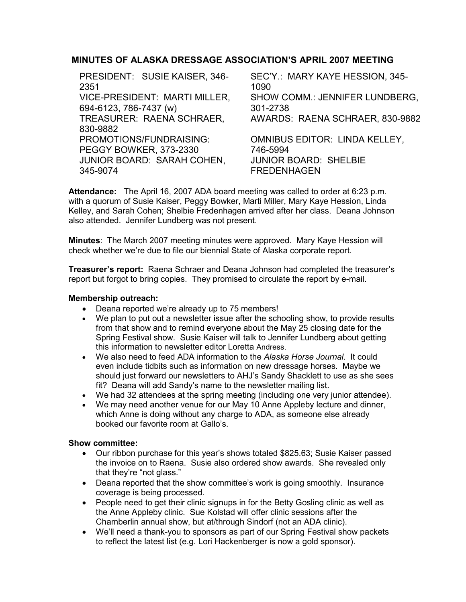# MINUTES OF ALASKA DRESSAGE ASSOCIATION'S APRIL 2007 MEETING

| PRESIDENT: SUSIE KAISER, 346- | SEC'Y.: MARY KAYE HESSION, 345-      |
|-------------------------------|--------------------------------------|
| 2351                          | 1090                                 |
| VICE-PRESIDENT: MARTI MILLER, | SHOW COMM.: JENNIFER LUNDBERG,       |
| 694-6123, 786-7437 (w)        | 301-2738                             |
| TREASURER: RAENA SCHRAER,     | AWARDS: RAENA SCHRAER, 830-9882      |
| 830-9882                      |                                      |
| PROMOTIONS/FUNDRAISING:       | <b>OMNIBUS EDITOR: LINDA KELLEY,</b> |
| PEGGY BOWKER, 373-2330        | 746-5994                             |
| JUNIOR BOARD: SARAH COHEN,    | <b>JUNIOR BOARD: SHELBIE</b>         |
| 345-9074                      | <b>FREDENHAGEN</b>                   |
|                               |                                      |

Attendance: The April 16, 2007 ADA board meeting was called to order at 6:23 p.m. with a quorum of Susie Kaiser, Peggy Bowker, Marti Miller, Mary Kaye Hession, Linda Kelley, and Sarah Cohen; Shelbie Fredenhagen arrived after her class. Deana Johnson also attended. Jennifer Lundberg was not present.

Minutes: The March 2007 meeting minutes were approved. Mary Kaye Hession will check whether we're due to file our biennial State of Alaska corporate report.

**Treasurer's report:** Raena Schraer and Deana Johnson had completed the treasurer's report but forgot to bring copies. They promised to circulate the report by e-mail.

## Membership outreach:

- Deana reported we're already up to 75 members!
- We plan to put out a newsletter issue after the schooling show, to provide results from that show and to remind everyone about the May 25 closing date for the Spring Festival show. Susie Kaiser will talk to Jennifer Lundberg about getting this information to newsletter editor Loretta Andress.
- We also need to feed ADA information to the Alaska Horse Journal. It could even include tidbits such as information on new dressage horses. Maybe we should just forward our newsletters to AHJ's Sandy Shacklett to use as she sees fit? Deana will add Sandy's name to the newsletter mailing list.
- We had 32 attendees at the spring meeting (including one very junior attendee).
- We may need another venue for our May 10 Anne Appleby lecture and dinner, which Anne is doing without any charge to ADA, as someone else already booked our favorite room at Gallo's.

- Our ribbon purchase for this year's shows totaled \$825.63; Susie Kaiser passed the invoice on to Raena. Susie also ordered show awards. She revealed only that they're "not glass."
- Deana reported that the show committee's work is going smoothly. Insurance coverage is being processed.
- People need to get their clinic signups in for the Betty Gosling clinic as well as the Anne Appleby clinic. Sue Kolstad will offer clinic sessions after the Chamberlin annual show, but at/through Sindorf (not an ADA clinic).
- We'll need a thank-you to sponsors as part of our Spring Festival show packets to reflect the latest list (e.g. Lori Hackenberger is now a gold sponsor).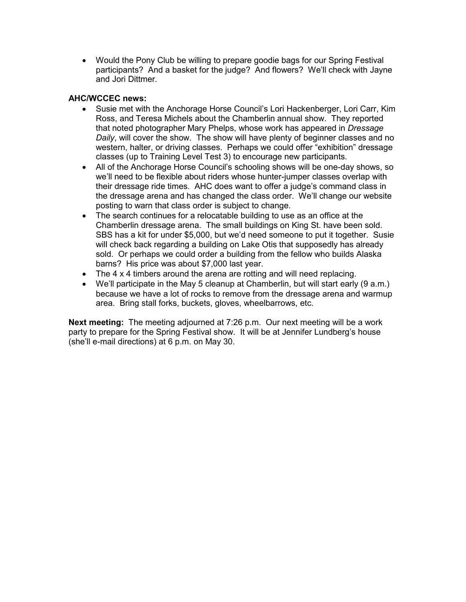• Would the Pony Club be willing to prepare goodie bags for our Spring Festival participants? And a basket for the judge? And flowers? We'll check with Jayne and Jori Dittmer.

### AHC/WCCEC news:

- Susie met with the Anchorage Horse Council's Lori Hackenberger, Lori Carr, Kim Ross, and Teresa Michels about the Chamberlin annual show. They reported that noted photographer Mary Phelps, whose work has appeared in Dressage Daily, will cover the show. The show will have plenty of beginner classes and no western, halter, or driving classes. Perhaps we could offer "exhibition" dressage classes (up to Training Level Test 3) to encourage new participants.
- All of the Anchorage Horse Council's schooling shows will be one-day shows, so we'll need to be flexible about riders whose hunter-jumper classes overlap with their dressage ride times. AHC does want to offer a judge's command class in the dressage arena and has changed the class order. We'll change our website posting to warn that class order is subject to change.
- The search continues for a relocatable building to use as an office at the Chamberlin dressage arena. The small buildings on King St. have been sold. SBS has a kit for under \$5,000, but we'd need someone to put it together. Susie will check back regarding a building on Lake Otis that supposedly has already sold. Or perhaps we could order a building from the fellow who builds Alaska barns? His price was about \$7,000 last year.
- The 4 x 4 timbers around the arena are rotting and will need replacing.
- We'll participate in the May 5 cleanup at Chamberlin, but will start early (9 a.m.) because we have a lot of rocks to remove from the dressage arena and warmup area. Bring stall forks, buckets, gloves, wheelbarrows, etc.

Next meeting: The meeting adjourned at 7:26 p.m. Our next meeting will be a work party to prepare for the Spring Festival show. It will be at Jennifer Lundberg's house (she'll e-mail directions) at 6 p.m. on May 30.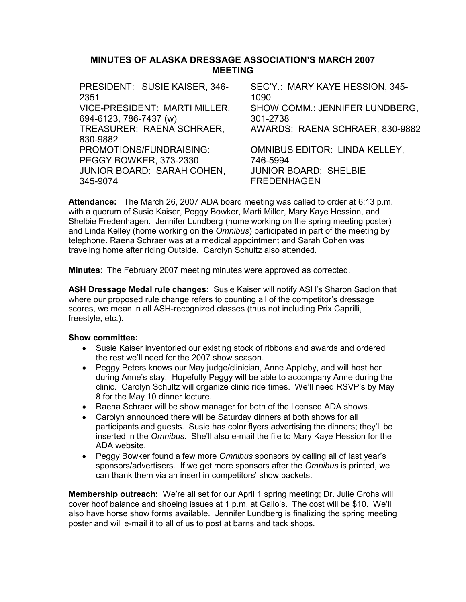### MINUTES OF ALASKA DRESSAGE ASSOCIATION'S MARCH 2007 MEETING

| PRESIDENT: SUSIE KAISER, 346-       | SEC'Y.: MARY KAYE HESSION, 345-       |
|-------------------------------------|---------------------------------------|
| 2351                                | 1090                                  |
| VICE-PRESIDENT: MARTI MILLER,       | <b>SHOW COMM.: JENNIFER LUNDBERG,</b> |
| 694-6123, 786-7437 (w)              | 301-2738                              |
| TREASURER: RAENA SCHRAER,           | AWARDS: RAENA SCHRAER, 830-9882       |
| 830-9882<br>PROMOTIONS/FUNDRAISING: | <b>OMNIBUS EDITOR: LINDA KELLEY,</b>  |
| PEGGY BOWKER, 373-2330              | 746-5994                              |
| JUNIOR BOARD: SARAH COHEN,          | <b>JUNIOR BOARD: SHELBIE</b>          |
| 345-9074                            | <b>FREDENHAGEN</b>                    |

Attendance: The March 26, 2007 ADA board meeting was called to order at 6:13 p.m. with a quorum of Susie Kaiser, Peggy Bowker, Marti Miller, Mary Kaye Hession, and Shelbie Fredenhagen. Jennifer Lundberg (home working on the spring meeting poster) and Linda Kelley (home working on the *Omnibus*) participated in part of the meeting by telephone. Raena Schraer was at a medical appointment and Sarah Cohen was traveling home after riding Outside. Carolyn Schultz also attended.

Minutes: The February 2007 meeting minutes were approved as corrected.

ASH Dressage Medal rule changes: Susie Kaiser will notify ASH's Sharon Sadlon that where our proposed rule change refers to counting all of the competitor's dressage scores, we mean in all ASH-recognized classes (thus not including Prix Caprilli, freestyle, etc.).

#### Show committee:

- Susie Kaiser inventoried our existing stock of ribbons and awards and ordered the rest we'll need for the 2007 show season.
- Peggy Peters knows our May judge/clinician, Anne Appleby, and will host her during Anne's stay. Hopefully Peggy will be able to accompany Anne during the clinic. Carolyn Schultz will organize clinic ride times. We'll need RSVP's by May 8 for the May 10 dinner lecture.
- Raena Schraer will be show manager for both of the licensed ADA shows.
- Carolyn announced there will be Saturday dinners at both shows for all participants and guests. Susie has color flyers advertising the dinners; they'll be inserted in the Omnibus. She'll also e-mail the file to Mary Kaye Hession for the ADA website.
- Peggy Bowker found a few more *Omnibus* sponsors by calling all of last year's sponsors/advertisers. If we get more sponsors after the Omnibus is printed, we can thank them via an insert in competitors' show packets.

Membership outreach: We're all set for our April 1 spring meeting; Dr. Julie Grohs will cover hoof balance and shoeing issues at 1 p.m. at Gallo's. The cost will be \$10. We'll also have horse show forms available. Jennifer Lundberg is finalizing the spring meeting poster and will e-mail it to all of us to post at barns and tack shops.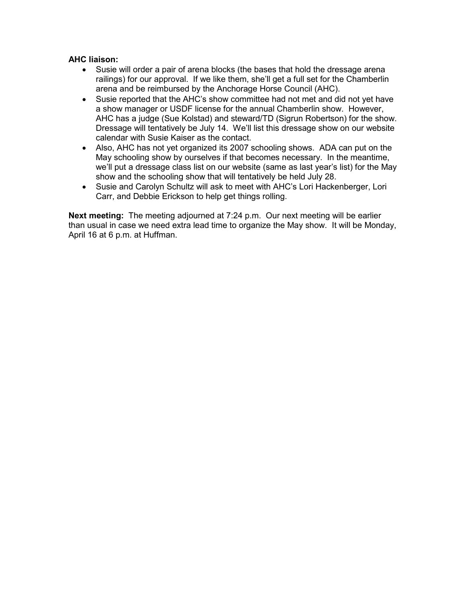### AHC liaison:

- Susie will order a pair of arena blocks (the bases that hold the dressage arena railings) for our approval. If we like them, she'll get a full set for the Chamberlin arena and be reimbursed by the Anchorage Horse Council (AHC).
- Susie reported that the AHC's show committee had not met and did not yet have a show manager or USDF license for the annual Chamberlin show. However, AHC has a judge (Sue Kolstad) and steward/TD (Sigrun Robertson) for the show. Dressage will tentatively be July 14. We'll list this dressage show on our website calendar with Susie Kaiser as the contact.
- Also, AHC has not yet organized its 2007 schooling shows. ADA can put on the May schooling show by ourselves if that becomes necessary. In the meantime, we'll put a dressage class list on our website (same as last year's list) for the May show and the schooling show that will tentatively be held July 28.
- Susie and Carolyn Schultz will ask to meet with AHC's Lori Hackenberger, Lori Carr, and Debbie Erickson to help get things rolling.

Next meeting: The meeting adjourned at 7:24 p.m. Our next meeting will be earlier than usual in case we need extra lead time to organize the May show. It will be Monday, April 16 at 6 p.m. at Huffman.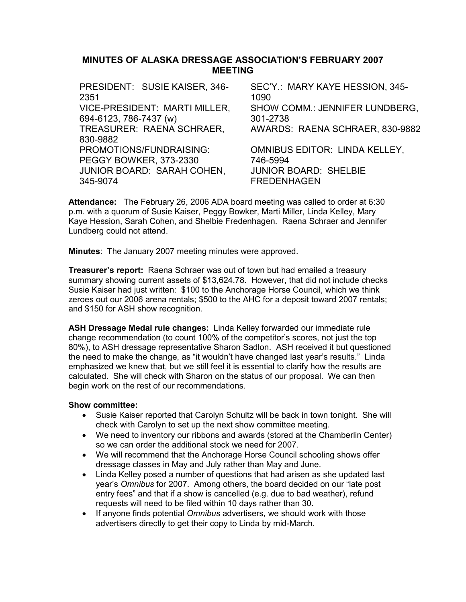## MINUTES OF ALASKA DRESSAGE ASSOCIATION'S FEBRUARY 2007 MEETING

| PRESIDENT: SUSIE KAISER, 346- | SEC'Y.: MARY KAYE HESSION, 345-      |
|-------------------------------|--------------------------------------|
| 2351                          | 1090                                 |
| VICE-PRESIDENT: MARTI MILLER, | SHOW COMM.: JENNIFER LUNDBERG,       |
| 694-6123, 786-7437 (w)        | 301-2738                             |
| TREASURER: RAENA SCHRAER,     | AWARDS: RAENA SCHRAER, 830-9882      |
| 830-9882                      |                                      |
| PROMOTIONS/FUNDRAISING:       | <b>OMNIBUS EDITOR: LINDA KELLEY,</b> |
| PEGGY BOWKER, 373-2330        | 746-5994                             |
| JUNIOR BOARD: SARAH COHEN,    | <b>JUNIOR BOARD: SHELBIE</b>         |
| 345-9074                      | <b>FREDENHAGEN</b>                   |
|                               |                                      |

Attendance: The February 26, 2006 ADA board meeting was called to order at 6:30 p.m. with a quorum of Susie Kaiser, Peggy Bowker, Marti Miller, Linda Kelley, Mary Kaye Hession, Sarah Cohen, and Shelbie Fredenhagen. Raena Schraer and Jennifer Lundberg could not attend.

Minutes: The January 2007 meeting minutes were approved.

**Treasurer's report:** Raena Schraer was out of town but had emailed a treasury summary showing current assets of \$13,624.78. However, that did not include checks Susie Kaiser had just written: \$100 to the Anchorage Horse Council, which we think zeroes out our 2006 arena rentals; \$500 to the AHC for a deposit toward 2007 rentals; and \$150 for ASH show recognition.

ASH Dressage Medal rule changes: Linda Kelley forwarded our immediate rule change recommendation (to count 100% of the competitor's scores, not just the top 80%), to ASH dressage representative Sharon Sadlon. ASH received it but questioned the need to make the change, as "it wouldn't have changed last year's results." Linda emphasized we knew that, but we still feel it is essential to clarify how the results are calculated. She will check with Sharon on the status of our proposal. We can then begin work on the rest of our recommendations.

- Susie Kaiser reported that Carolyn Schultz will be back in town tonight. She will check with Carolyn to set up the next show committee meeting.
- We need to inventory our ribbons and awards (stored at the Chamberlin Center) so we can order the additional stock we need for 2007.
- We will recommend that the Anchorage Horse Council schooling shows offer dressage classes in May and July rather than May and June.
- Linda Kelley posed a number of questions that had arisen as she updated last year's Omnibus for 2007. Among others, the board decided on our "late post entry fees" and that if a show is cancelled (e.g. due to bad weather), refund requests will need to be filed within 10 days rather than 30.
- If anyone finds potential Omnibus advertisers, we should work with those advertisers directly to get their copy to Linda by mid-March.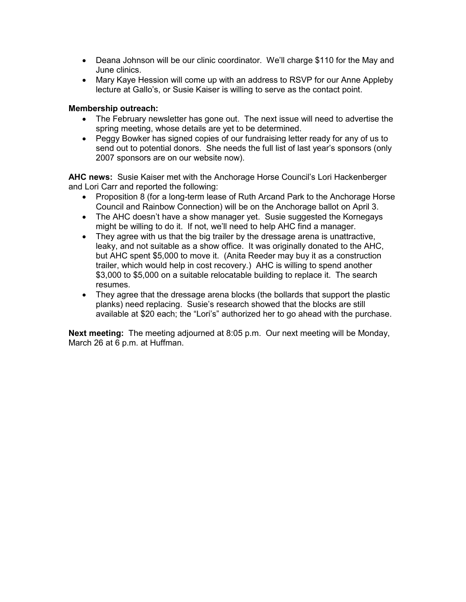- Deana Johnson will be our clinic coordinator. We'll charge \$110 for the May and June clinics.
- Mary Kaye Hession will come up with an address to RSVP for our Anne Appleby lecture at Gallo's, or Susie Kaiser is willing to serve as the contact point.

### Membership outreach:

- The February newsletter has gone out. The next issue will need to advertise the spring meeting, whose details are yet to be determined.
- Peggy Bowker has signed copies of our fundraising letter ready for any of us to send out to potential donors. She needs the full list of last year's sponsors (only 2007 sponsors are on our website now).

AHC news: Susie Kaiser met with the Anchorage Horse Council's Lori Hackenberger and Lori Carr and reported the following:

- Proposition 8 (for a long-term lease of Ruth Arcand Park to the Anchorage Horse Council and Rainbow Connection) will be on the Anchorage ballot on April 3.
- The AHC doesn't have a show manager yet. Susie suggested the Kornegays might be willing to do it. If not, we'll need to help AHC find a manager.
- They agree with us that the big trailer by the dressage arena is unattractive, leaky, and not suitable as a show office. It was originally donated to the AHC, but AHC spent \$5,000 to move it. (Anita Reeder may buy it as a construction trailer, which would help in cost recovery.) AHC is willing to spend another \$3,000 to \$5,000 on a suitable relocatable building to replace it. The search resumes.
- They agree that the dressage arena blocks (the bollards that support the plastic planks) need replacing. Susie's research showed that the blocks are still available at \$20 each; the "Lori's" authorized her to go ahead with the purchase.

Next meeting: The meeting adjourned at 8:05 p.m. Our next meeting will be Monday, March 26 at 6 p.m. at Huffman.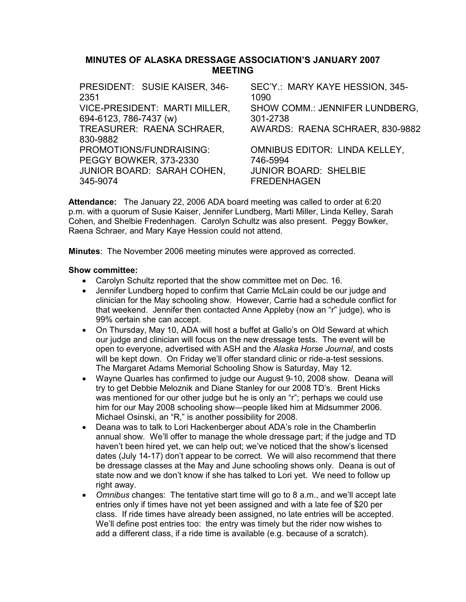## MINUTES OF ALASKA DRESSAGE ASSOCIATION'S JANUARY 2007 MEETING

| PRESIDENT: SUSIE KAISER, 346- | SEC'Y.: MARY KAYE HESSION, 345-       |
|-------------------------------|---------------------------------------|
| 2351                          | 1090                                  |
| VICE-PRESIDENT: MARTI MILLER, | <b>SHOW COMM.: JENNIFER LUNDBERG,</b> |
| 694-6123, 786-7437 (w)        | 301-2738                              |
| TREASURER: RAENA SCHRAER,     | AWARDS: RAENA SCHRAER, 830-9882       |
| 830-9882                      |                                       |
| PROMOTIONS/FUNDRAISING:       | <b>OMNIBUS EDITOR: LINDA KELLEY,</b>  |
| PEGGY BOWKER, 373-2330        | 746-5994                              |
| JUNIOR BOARD: SARAH COHEN,    | <b>JUNIOR BOARD: SHELBIE</b>          |
| 345-9074                      | <b>FREDENHAGEN</b>                    |
|                               |                                       |

Attendance: The January 22, 2006 ADA board meeting was called to order at 6:20 p.m. with a quorum of Susie Kaiser, Jennifer Lundberg, Marti Miller, Linda Kelley, Sarah Cohen, and Shelbie Fredenhagen. Carolyn Schultz was also present. Peggy Bowker, Raena Schraer, and Mary Kaye Hession could not attend.

Minutes: The November 2006 meeting minutes were approved as corrected.

- Carolyn Schultz reported that the show committee met on Dec. 16.
- Jennifer Lundberg hoped to confirm that Carrie McLain could be our judge and clinician for the May schooling show. However, Carrie had a schedule conflict for that weekend. Jennifer then contacted Anne Appleby (now an "r" judge), who is 99% certain she can accept.
- On Thursday, May 10, ADA will host a buffet at Gallo's on Old Seward at which our judge and clinician will focus on the new dressage tests. The event will be open to everyone, advertised with ASH and the Alaska Horse Journal, and costs will be kept down. On Friday we'll offer standard clinic or ride-a-test sessions. The Margaret Adams Memorial Schooling Show is Saturday, May 12.
- Wayne Quarles has confirmed to judge our August 9-10, 2008 show. Deana will try to get Debbie Meloznik and Diane Stanley for our 2008 TD's. Brent Hicks was mentioned for our other judge but he is only an "r"; perhaps we could use him for our May 2008 schooling show—people liked him at Midsummer 2006. Michael Osinski, an "R," is another possibility for 2008.
- Deana was to talk to Lori Hackenberger about ADA's role in the Chamberlin annual show. We'll offer to manage the whole dressage part; if the judge and TD haven't been hired yet, we can help out; we've noticed that the show's licensed dates (July 14-17) don't appear to be correct. We will also recommend that there be dressage classes at the May and June schooling shows only. Deana is out of state now and we don't know if she has talked to Lori yet. We need to follow up right away.
- Omnibus changes: The tentative start time will go to 8 a.m., and we'll accept late entries only if times have not yet been assigned and with a late fee of \$20 per class. If ride times have already been assigned, no late entries will be accepted. We'll define post entries too: the entry was timely but the rider now wishes to add a different class, if a ride time is available (e.g. because of a scratch).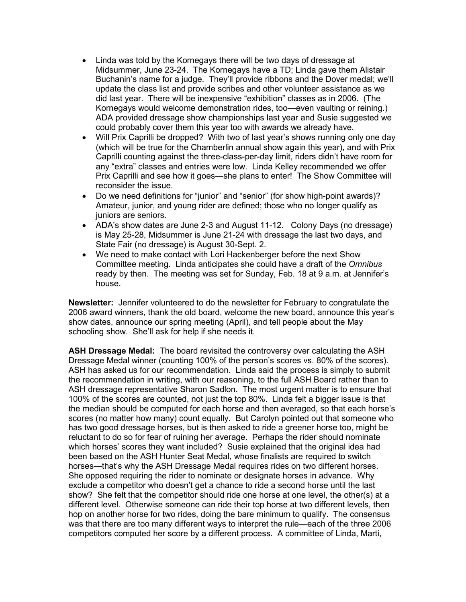- Linda was told by the Kornegays there will be two days of dressage at Midsummer, June 23-24. The Kornegays have a TD; Linda gave them Alistair Buchanin's name for a judge. They'll provide ribbons and the Dover medal; we'll update the class list and provide scribes and other volunteer assistance as we did last year. There will be inexpensive "exhibition" classes as in 2006. (The Kornegays would welcome demonstration rides, too—even vaulting or reining.) ADA provided dressage show championships last year and Susie suggested we could probably cover them this year too with awards we already have.
- Will Prix Caprilli be dropped? With two of last year's shows running only one day (which will be true for the Chamberlin annual show again this year), and with Prix Caprilli counting against the three-class-per-day limit, riders didn't have room for any "extra" classes and entries were low. Linda Kelley recommended we offer Prix Caprilli and see how it goes—she plans to enter! The Show Committee will reconsider the issue.
- Do we need definitions for "junior" and "senior" (for show high-point awards)? Amateur, junior, and young rider are defined; those who no longer qualify as juniors are seniors.
- ADA's show dates are June 2-3 and August 11-12. Colony Days (no dressage) is May 25-28, Midsummer is June 21-24 with dressage the last two days, and State Fair (no dressage) is August 30-Sept. 2.
- We need to make contact with Lori Hackenberger before the next Show Committee meeting. Linda anticipates she could have a draft of the Omnibus ready by then. The meeting was set for Sunday, Feb. 18 at 9 a.m. at Jennifer's house.

Newsletter: Jennifer volunteered to do the newsletter for February to congratulate the 2006 award winners, thank the old board, welcome the new board, announce this year's show dates, announce our spring meeting (April), and tell people about the May schooling show. She'll ask for help if she needs it.

ASH Dressage Medal: The board revisited the controversy over calculating the ASH Dressage Medal winner (counting 100% of the person's scores vs. 80% of the scores). ASH has asked us for our recommendation. Linda said the process is simply to submit the recommendation in writing, with our reasoning, to the full ASH Board rather than to ASH dressage representative Sharon Sadlon. The most urgent matter is to ensure that 100% of the scores are counted, not just the top 80%. Linda felt a bigger issue is that the median should be computed for each horse and then averaged, so that each horse's scores (no matter how many) count equally. But Carolyn pointed out that someone who has two good dressage horses, but is then asked to ride a greener horse too, might be reluctant to do so for fear of ruining her average. Perhaps the rider should nominate which horses' scores they want included? Susie explained that the original idea had been based on the ASH Hunter Seat Medal, whose finalists are required to switch horses—that's why the ASH Dressage Medal requires rides on two different horses. She opposed requiring the rider to nominate or designate horses in advance. Why exclude a competitor who doesn't get a chance to ride a second horse until the last show? She felt that the competitor should ride one horse at one level, the other(s) at a different level. Otherwise someone can ride their top horse at two different levels, then hop on another horse for two rides, doing the bare minimum to qualify. The consensus was that there are too many different ways to interpret the rule—each of the three 2006 competitors computed her score by a different process. A committee of Linda, Marti,